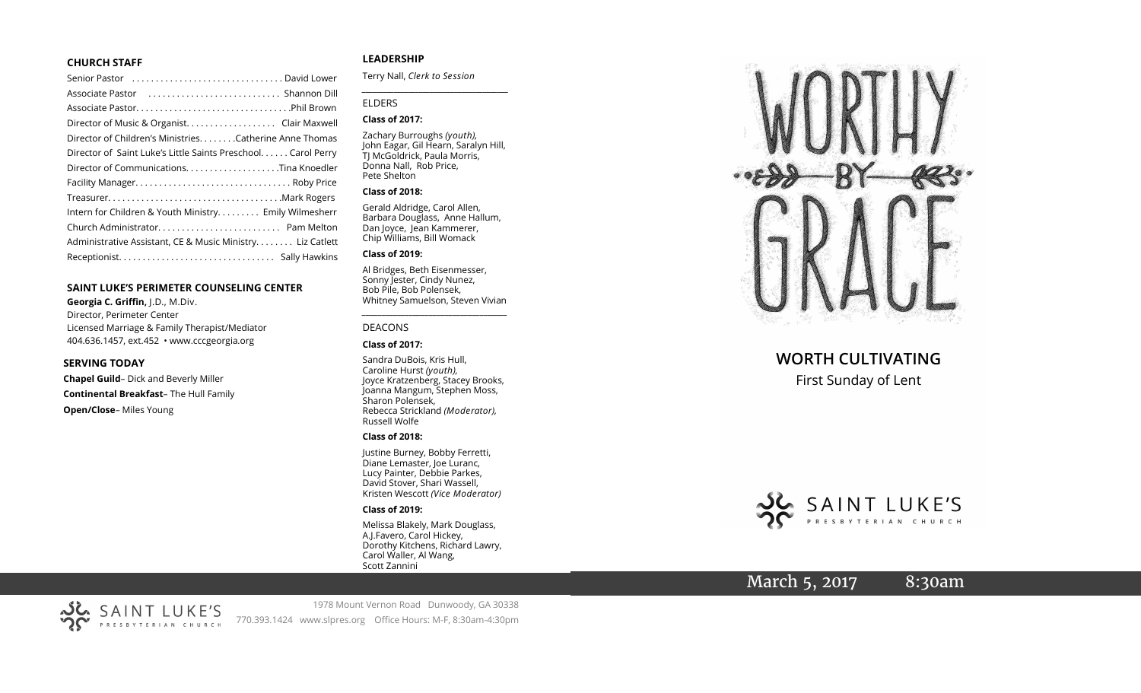#### **CHURCH STAFF**

| Senior Pastor (all contains and contained a senior Pastor contains) |
|---------------------------------------------------------------------|
|                                                                     |
|                                                                     |
| Director of Music & Organist. Clair Maxwell                         |
| Director of Children's MinistriesCatherine Anne Thomas              |
| Director of Saint Luke's Little Saints Preschool. Carol Perry       |
|                                                                     |
|                                                                     |
|                                                                     |
| Intern for Children & Youth Ministry Emily Wilmesherr               |
|                                                                     |
| Administrative Assistant, CE & Music Ministry Liz Catlett           |
|                                                                     |
|                                                                     |

#### **SAINT LUKE 'S PERIMETER COUNSELING CENTER**

**Georgia C. Griffin,** J.D., M.Div. Director, Perimeter Center Licensed Marriage & Family Therapist/Mediator 404.636.1457, ext.452 • www.cccgeorgia.org

#### **SERVING TODAY**

**Chapel Guild** – Dick and Beverly Miller **Continental Breakfast** – The Hull Family **Open/Close** – Miles Young

#### **LEADERSHIP**

Terry Nall, *Clerk to Session*

#### ELDERS

#### **Class of 2017:**

Zachary Burroughs *(youth),*  John Eagar, Gil Hearn, Saralyn Hill, TJ McGoldrick, Paula Morris, Donna Nall, Rob Price, Pete Shelton

*\_\_\_\_\_\_\_\_\_\_\_\_\_\_\_\_\_\_\_\_\_\_\_\_\_\_\_\_\_\_\_\_\_\_\_\_\_\_\_\_\_*

#### **Class of 2018:**

Gerald Aldridge, Carol Allen, Barbara Douglass, Anne Hallum, Dan Joyce, Jean Kammerer, Chip Williams, Bill Womack

#### **Class of 2019:**

Al Bridges, Beth Eisenmesser, Sonny Jester, Cindy Nunez, Bob Pile, Bob Polensek, Whitney Samuelson, Steven Vivian

*\_\_\_\_\_\_\_\_\_\_\_\_\_\_\_\_\_\_\_\_\_\_\_\_\_\_\_\_\_\_\_\_\_\_\_\_\_*

#### DEACONS

#### **Class of 2017:**

Sandra DuBois, Kris Hull, Caroline Hurst *(youth),* Joyce Kratzenberg, Stacey Brooks, Joanna Mangum, Stephen Moss, Sharon Polensek, Rebecca Strickland *(Moderator),*  Russell Wolfe

#### **Class of 2018:**

Justine Burney, Bobby Ferretti, Diane Lemaster, Joe Luranc, Lucy Painter, Debbie Parkes, David Stover, Shari Wassell, Kristen Wescott *(Vice Moderator)*

#### **Class of 2019:**

Melissa Blakely, Mark Douglass, A.J.Favero, Carol Hickey, Dorothy Kitchens, Richard Lawry, Carol Waller, Al Wang, Scott Zannini



**WORTH CULTIVATING**

First Sunday of Lent



# March 5, 2017 8:30am



1978 Mount Vernon Road Dunwoody, GA 30338 770.393.1424 www.slpres.org Office Hours: M -F, 8:30am -4:30pm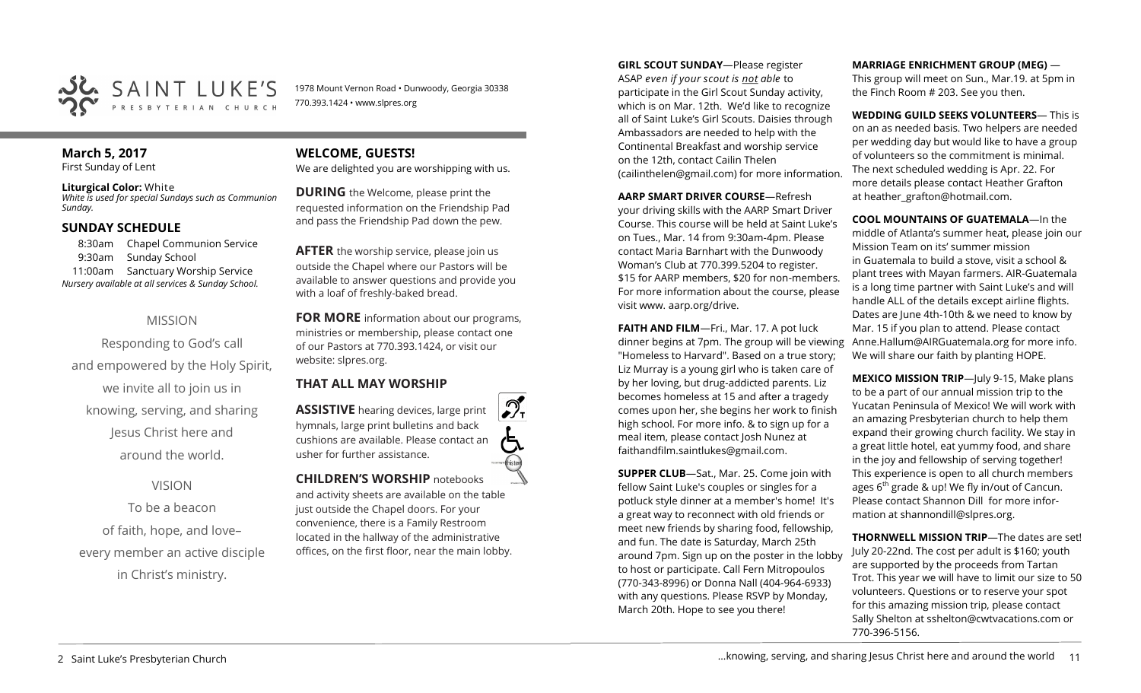

1978 Mount Vernon Road • Dunwoody, Georgia 30338 770.393.1424 • www.slpres.org

## **March 5, 2017**

First Sunday of Lent

**Liturgical Color:** White *White is used for special Sundays such as Communion Sunday.*

#### **SUNDAY SCHEDULE**

8:30am Chapel Communion Service 9:30am Sunday School 11:00am Sanctuary Worship Service *Nursery available at all services & Sunday School.* 

### MISSION

Responding to God's call and empowered by the Holy Spirit, we invite all to join us in knowing, serving, and sharing Jesus Christ here and around the world.

VISION

To be a beacon of faith, hope, and love– every member an active disciple in Christ's ministry.

#### **WELCOME, GUESTS!**  We are delighted you are worshipping with us.

**DURING** the Welcome, please print the requested information on the Friendship Pad and pass the Friendship Pad down the pew.

**AFTER** the worship service, please join us outside the Chapel where our Pastors will be available to answer questions and provide you with a loaf of freshly-baked bread.

**FOR MORE** information about our programs, ministries or membership, please contact one of our Pastors at 770.393.1424, or visit our website: slpres.org.

### **THAT ALL MAY WORSHIP**

**ASSISTIVE** hearing devices, large print hymnals, large print bulletins and back cushions are available. Please contact an usher for further assistance. **CHILDREN'S WORSHIP** notebooks

and activity sheets are available on the table just outside the Chapel doors. For your convenience, there is a Family Restroom located in the hallway of the administrative offices, on the first floor, near the main lobby.

**GIRL SCOUT SUNDAY**—Please register ASAP *even if your scout is not able* to participate in the Girl Scout Sunday activity, which is on Mar. 12th. We'd like to recognize all of Saint Luke's Girl Scouts. Daisies through Ambassadors are needed to help with the Continental Breakfast and worship service on the 12th, contact Cailin Thelen ([cailinthelen@gmail.com\)](mailto:cailinthelen@gmail.com) for more information.

**AARP SMART DRIVER COURSE**—Refresh your driving skills with the AARP Smart Driver Course. This course will be held at Saint Luke's on Tues., Mar. 14 from 9:30am-4pm. Please contact Maria Barnhart with the Dunwoody Woman's Club at 770.399.5204 to register. \$15 for AARP members, \$20 for non-members. For more information about the course, please visit www. aarp.org/drive.

**FAITH AND FILM**—Fri., Mar. 17. A pot luck dinner begins at 7pm. The group will be viewing "Homeless to Harvard". Based on a true story; Liz Murray is a young girl who is taken care of by her loving, but drug-addicted parents. Liz becomes homeless at 15 and after a tragedy comes upon her, she begins her work to finish high school. For more info. & to sign up for a meal item, please contact Josh Nunez at [faithandfilm.saintlukes@gmail.com.](mailto:faithandfilm.saintlukes@gmail.com)

**SUPPER CLUB**—Sat., Mar. 25. Come join with fellow Saint Luke's couples or singles for a potluck style dinner at a member's home! It's a great way to reconnect with old friends or meet new friends by sharing food, fellowship, and fun. The date is Saturday, March 25th around 7pm. Sign up on the poster in the lobby to host or participate. Call Fern Mitropoulos (770-343-8996) or Donna Nall (404-964-6933) with any questions. Please RSVP by Monday, March 20th. Hope to see you there!

**MARRIAGE ENRICHMENT GROUP (MEG)** —

This group will meet on Sun., Mar.19. at 5pm in the Finch Room # 203. See you then.

**WEDDING GUILD SEEKS VOLUNTEERS**— This is on an as needed basis. Two helpers are needed per wedding day but would like to have a group of volunteers so the commitment is minimal. The next scheduled wedding is Apr. 22. For more details please contact Heather Grafton at heather\_grafton@hotmail.com.

**COOL MOUNTAINS OF GUATEMALA**—In the middle of Atlanta's summer heat, please join our Mission Team on its' summer mission in Guatemala to build a stove, visit a school & plant trees with Mayan farmers. AIR-Guatemala is a long time partner with Saint Luke's and will handle ALL of the details except airline flights. Dates are June 4th-10th & we need to know by Mar. 15 if you plan to attend. Please contact Anne.Hallum@AIRGuatemala.org for more info. We will share our faith by planting HOPE.

**MEXICO MISSION TRIP**—July 9-15, Make plans to be a part of our annual mission trip to the Yucatan Peninsula of Mexico! We will work with an amazing Presbyterian church to help them expand their growing church facility. We stay in a great little hotel, eat yummy food, and share in the joy and fellowship of serving together! This experience is open to all church members ages  $6<sup>th</sup>$  grade & up! We fly in/out of Cancun. Please contact Shannon Dill for more information at shannondill@slpres.org.

**THORNWELL MISSION TRIP**—The dates are set! July 20-22nd. The cost per adult is \$160; youth are supported by the proceeds from Tartan Trot. This year we will have to limit our size to 50 volunteers. Questions or to reserve your spot for this amazing mission trip, please contact Sally Shelton at sshelton@cwtvacations.com or 770-396-5156.

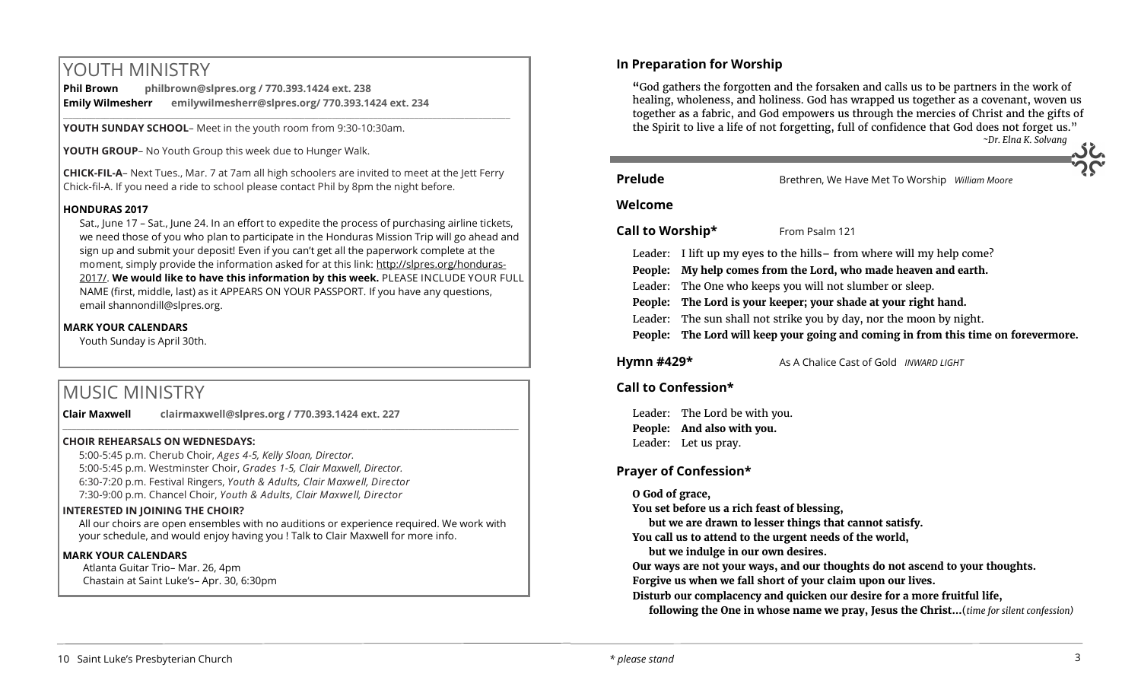# YOUTH MINISTRY

| <b>Phil Brown</b>       | philbrown@slpres.org / 770.393.1424 ext. 238      |
|-------------------------|---------------------------------------------------|
| <b>Emily Wilmesherr</b> | emilywilmesherr@slpres.org/ 770.393.1424 ext. 234 |

**YOUTH SUNDAY SCHOOL**– Meet in the youth room from 9:30-10:30am.

**YOUTH GROUP**– No Youth Group this week due to Hunger Walk.

**CHICK-FIL-A**– Next Tues., Mar. 7 at 7am all high schoolers are invited to meet at the Jett Ferry Chick-fil-A. If you need a ride to school please contact Phil by 8pm the night before.

#### **HONDURAS 2017**

Sat., June 17 – Sat., June 24. In an effort to expedite the process of purchasing airline tickets, we need those of you who plan to participate in the Honduras Mission Trip will go ahead and sign up and submit your deposit! Even if you can't get all the paperwork complete at the moment, simply provide the information asked for at this link: [http://slpres.org/honduras](http://slpres.org/honduras-2017/)-[2017/.](http://slpres.org/honduras-2017/) **We would like to have this information by this week.** PLEASE INCLUDE YOUR FULL NAME (first, middle, last) as it APPEARS ON YOUR PASSPORT. If you have any questions, email [shannondill@slpres.org.](mailto:shannondill@slpres.org)

#### **MARK YOUR CALENDARS**

Youth Sunday is April 30th.

# MUSIC MINISTRY

**Clair Maxwell clairmaxwell@slpres.org / 770.393.1424 ext. 227** 

\_\_\_\_\_\_\_\_\_\_\_\_\_\_\_\_\_\_\_\_\_\_\_\_\_\_\_\_\_\_\_\_\_\_\_\_\_\_\_\_\_\_\_\_\_\_\_\_\_\_\_\_\_\_\_\_\_\_\_\_\_\_\_\_\_\_\_\_\_\_\_\_\_\_\_\_\_\_\_\_\_\_\_\_\_\_\_\_\_\_\_\_\_\_\_\_\_\_\_\_

#### **CHOIR REHEARSALS ON WEDNESDAYS:**

5:00-5:45 p.m. Cherub Choir, *Ages 4-5, Kelly Sloan, Director.*  5:00-5:45 p.m. Westminster Choir, *Grades 1-5, Clair Maxwell, Director.*  6:30-7:20 p.m. Festival Ringers, *Youth & Adults, Clair Maxwell, Director* 7:30-9:00 p.m. Chancel Choir, *Youth & Adults, Clair Maxwell, Director*

#### **INTERESTED IN JOINING THE CHOIR?**

All our choirs are open ensembles with no auditions or experience required. We work with your schedule, and would enjoy having you ! Talk to Clair Maxwell for more info.

#### **MARK YOUR CALENDARS**

Atlanta Guitar Trio– Mar. 26, 4pm Chastain at Saint Luke's– Apr. 30, 6:30pm

#### **In Preparation for Worship**

**"**God gathers the forgotten and the forsaken and calls us to be partners in the work of healing, wholeness, and holiness. God has wrapped us together as a covenant, woven us together as a fabric, and God empowers us through the mercies of Christ and the gifts of the Spirit to live a life of not forgetting, full of confidence that God does not forget us." *~Dr. Elna K. Solvang*

**Prelude** Brethren, We Have Met To Worship *William Moore* 

#### **Welcome**

#### **Call to Worship\*** From Psalm 121

- Leader: I lift up my eyes to the hills– from where will my help come?
- **People: My help comes from the Lord, who made heaven and earth.**
- Leader: The One who keeps you will not slumber or sleep.
- **People: The Lord is your keeper; your shade at your right hand.**
- Leader: The sun shall not strike you by day, nor the moon by night.
- **People: The Lord will keep your going and coming in from this time on forevermore.**

#### **Hymn #429\*** As A Chalice Cast of Gold *INWARD LIGHT*

#### **Call to Confession\***

Leader: The Lord be with you. **People: And also with you.** Leader: Let us pray.

#### **Prayer of Confession\***

#### **O God of grace,**

**You set before us a rich feast of blessing,** 

**but we are drawn to lesser things that cannot satisfy.**

**You call us to attend to the urgent needs of the world,** 

**but we indulge in our own desires.**

**Our ways are not your ways, and our thoughts do not ascend to your thoughts. Forgive us when we fall short of your claim upon our lives.**

**Disturb our complacency and quicken our desire for a more fruitful life,**

**following the One in whose name we pray, Jesus the Christ…**(*time for silent confession)*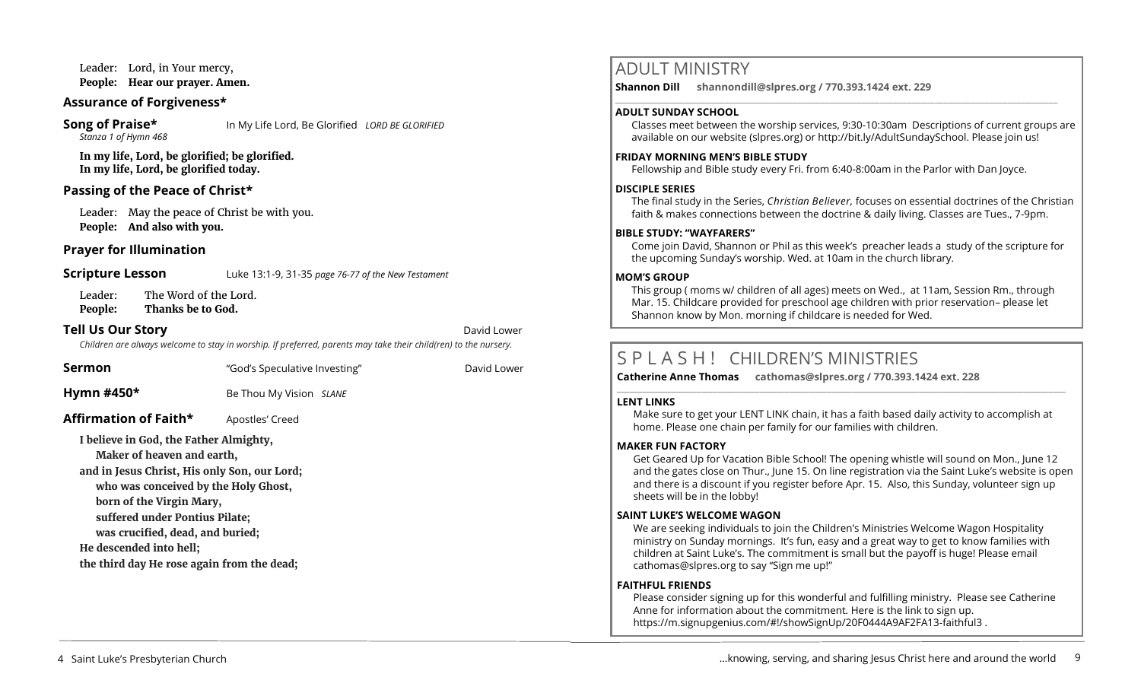Leader: Lord, in Your mercy, **People: Hear our prayer. Amen.**

#### **Assurance of Forgiveness\***

# *Stanza 1 of Hymn 468*

**Song of Praise\*** In My Life Lord, Be Glorified *LORD BE GLORIFIED* 

**In my life, Lord, be glorified; be glorified. In my life, Lord, be glorified today.**

#### **Passing of the Peace of Christ\***

Leader: May the peace of Christ be with you. **People: And also with you.** 

#### **Prayer for Illumination**

**Scripture Lesson** Luke 13:1-9, 31-35 *page 76-77 of the New Testament* 

Leader: The Word of the Lord. **People: Thanks be to God.**

#### **Tell Us Our Story David Lower** *David Lower* **<b>David Lower David Lower David Lower**

*Children are always welcome to stay in worship. If preferred, parents may take their child(ren) to the nursery.*

**Sermon** The "God's Speculative Investing" The David Lower

**Hymn #450\*** Be Thou My Vision *SLANE*

#### **Affirmation of Faith\*** Apostles' Creed

**I believe in God, the Father Almighty,**

**Maker of heaven and earth,**

**and in Jesus Christ, His only Son, our Lord;**

**who was conceived by the Holy Ghost,** 

**born of the Virgin Mary,**

**suffered under Pontius Pilate;** 

**was crucified, dead, and buried;**

**He descended into hell;** 

**the third day He rose again from the dead;**

## ADULT MINISTRY

**Shannon Dill shannondill@slpres.org / 770.393.1424 ext. 229**   $\_$  ,  $\_$  ,  $\_$  ,  $\_$  ,  $\_$  ,  $\_$  ,  $\_$  ,  $\_$  ,  $\_$  ,  $\_$  ,  $\_$  ,  $\_$  ,  $\_$  ,  $\_$  ,  $\_$  ,  $\_$  ,  $\_$  ,  $\_$  ,  $\_$  ,  $\_$ 

#### **ADULT SUNDAY SCHOOL**

Classes meet between the worship services, 9:30-10:30am Descriptions of current groups are available on our website (slpres.org) or http://bit.ly/AdultSundaySchool. Please join us!

#### **FRIDAY MORNING MEN'S BIBLE STUDY**

Fellowship and Bible study every Fri. from 6:40-8:00am in the Parlor with Dan Joyce.

#### **DISCIPLE SERIES**

The final study in the Series, *Christian Believer,* focuses on essential doctrines of the Christian faith & makes connections between the doctrine & daily living. Classes are Tues., 7-9pm.

#### **BIBLE STUDY: "WAYFARERS"**

Come join David, Shannon or Phil as this week's preacher leads a study of the scripture for the upcoming Sunday's worship. Wed. at 10am in the church library.

#### **MOM'S GROUP**

This group ( moms w/ children of all ages) meets on Wed., at 11am, Session Rm., through Mar. 15. Childcare provided for preschool age children with prior reservation– please let Shannon know by Mon. morning if childcare is needed for Wed.

# S P L A S H ! CHILDREN'S MINISTRIES

**Catherine Anne Thomas cathomas@slpres.org / 770.393.1424 ext. 228 \_\_\_\_\_\_\_\_\_\_\_\_\_\_\_\_\_\_\_\_\_\_\_\_\_\_\_\_\_\_\_\_\_\_\_\_\_\_\_\_\_\_\_\_\_\_\_\_\_\_\_\_\_\_\_\_\_\_\_\_\_\_\_\_\_\_\_\_\_\_\_\_\_\_\_\_\_\_\_\_\_\_\_\_\_\_\_\_\_\_\_\_\_\_\_\_\_\_\_\_\_\_\_\_\_\_\_** 

#### **LENT LINKS**

Make sure to get your LENT LINK chain, it has a faith based daily activity to accomplish at home. Please one chain per family for our families with children.

#### **MAKER FUN FACTORY**

Get Geared Up for Vacation Bible School! The opening whistle will sound on Mon., June 12 and the gates close on Thur., June 15. On line registration via the Saint Luke's website is open and there is a discount if you register before Apr. 15. Also, this Sunday, volunteer sign up sheets will be in the lobby!

#### **SAINT LUKE'S WELCOME WAGON**

We are seeking individuals to join the Children's Ministries Welcome Wagon Hospitality ministry on Sunday mornings. It's fun, easy and a great way to get to know families with children at Saint Luke's. The commitment is small but the payoff is huge! Please email cathomas@slpres.org to say "Sign me up!"

#### **FAITHFUL FRIENDS**

Please consider signing up for this wonderful and fulfilling ministry. Please see Catherine Anne for information about the commitment. Here is the link to sign up. [https://m.signupgenius.com/#!/showSignUp/20F0444A9AF2FA13](https://m.signupgenius.com/#!/showSignUp/20F0444A9AF2FA13-faithful3)-faithful3 .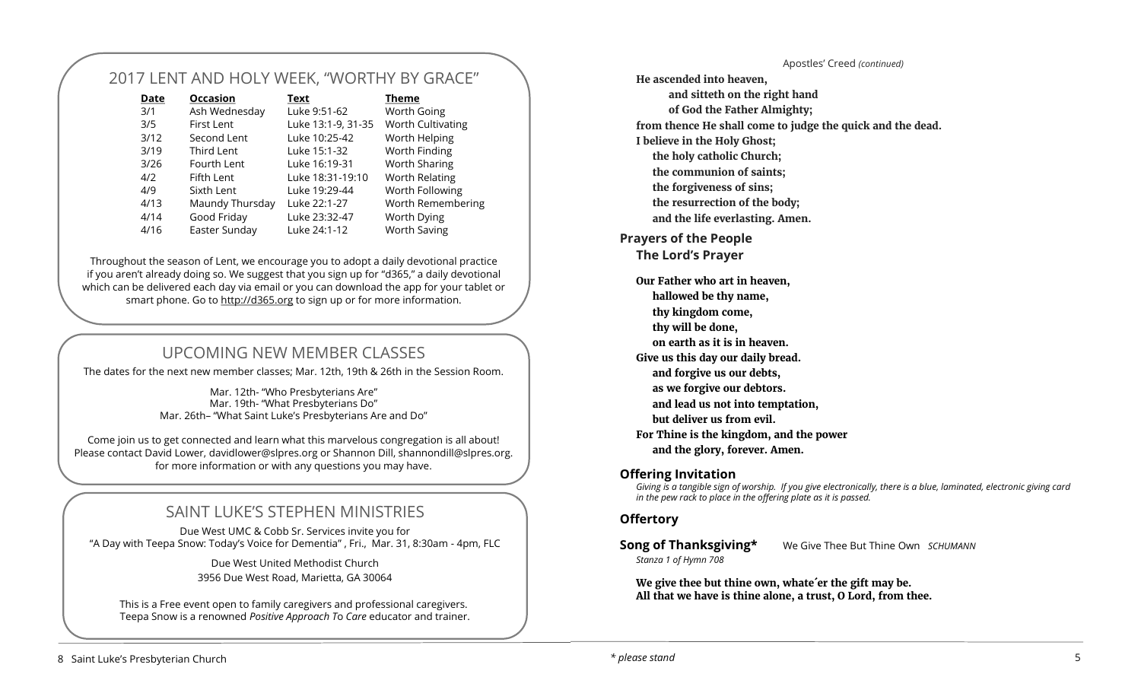# 2017 LENT AND HOLY WEEK, "WORTHY BY GRACE"

| Date | <b>Occasion</b>   | Text               | Theme               |
|------|-------------------|--------------------|---------------------|
| 3/1  | Ash Wednesday     | Luke 9:51-62       | <b>Worth Going</b>  |
| 3/5  | <b>First Lent</b> | Luke 13:1-9, 31-35 | Worth Cultivating   |
| 3/12 | Second Lent       | Luke 10:25-42      | Worth Helping       |
| 3/19 | Third Lent        | Luke 15:1-32       | Worth Finding       |
| 3/26 | Fourth Lent       | Luke 16:19-31      | Worth Sharing       |
| 4/2  | Fifth Lent        | Luke 18:31-19:10   | Worth Relating      |
| 4/9  | Sixth Lent        | Luke 19:29-44      | Worth Following     |
| 4/13 | Maundy Thursday   | Luke 22:1-27       | Worth Remembering   |
| 4/14 | Good Friday       | Luke 23:32-47      | Worth Dying         |
| 4/16 | Easter Sunday     | Luke 24:1-12       | <b>Worth Saving</b> |

Throughout the season of Lent, we encourage you to adopt a daily devotional practice if you aren't already doing so. We suggest that you sign up for "d365," a daily devotional which can be delivered each day via email or you can download the app for your tablet or smart phone. Go to<http://d365.org> to sign up or for more information.

# UPCOMING NEW MEMBER CLASSES

The dates for the next new member classes; Mar. 12th, 19th & 26th in the Session Room.

Mar. 12th- "Who Presbyterians Are" Mar. 19th- "What Presbyterians Do" Mar. 26th– "What Saint Luke's Presbyterians Are and Do"

Come join us to get connected and learn what this marvelous congregation is all about! Please contact David Lower, davidlower@slpres.org or Shannon Dill, shannondill@slpres.org. for more information or with any questions you may have.

# SAINT LUKE'S STEPHEN MINISTRIES

Due West UMC & Cobb Sr. Services invite you for "A Day with Teepa Snow: Today's Voice for Dementia" , Fri., Mar. 31, 8:30am - 4pm, FLC

> Due West United Methodist Church 3956 Due West Road, Marietta, GA 30064

This is a Free event open to family caregivers and professional caregivers. Teepa Snow is a renowned *Positive Approach T*o *Care* educator and trainer.

Apostles' Creed *(continued)* **He ascended into heaven, and sitteth on the right hand of God the Father Almighty; from thence He shall come to judge the quick and the dead. I believe in the Holy Ghost; the holy catholic Church; the communion of saints; the forgiveness of sins; the resurrection of the body; and the life everlasting. Amen. Prayers of the People The Lord's Prayer Our Father who art in heaven, hallowed be thy name, thy kingdom come, thy will be done, on earth as it is in heaven. Give us this day our daily bread. and forgive us our debts, as we forgive our debtors. and lead us not into temptation, but deliver us from evil. For Thine is the kingdom, and the power** 

**and the glory, forever. Amen.**

#### **Offering Invitation**

*Giving is a tangible sign of worship. If you give electronically, there is a blue, laminated, electronic giving card in the pew rack to place in the offering plate as it is passed.* 

#### **Offertory**

*Stanza 1 of Hymn 708* 

**Song of Thanksgiving\*** We Give Thee But Thine Own *SCHUMANN* 

**We give thee but thine own, whate´er the gift may be. All that we have is thine alone, a trust, O Lord, from thee.**